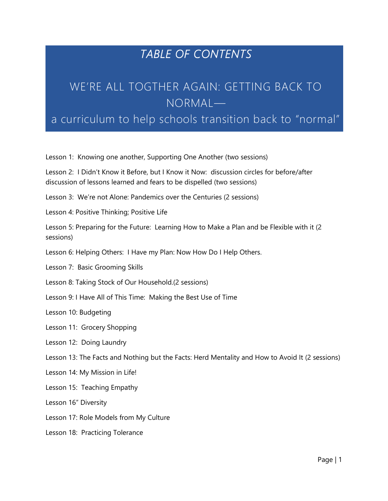## *TABLE OF CONTENTS*

## WE'RE ALL TOGTHER AGAIN: GETTING BACK TO NORMAL—

## a curriculum to help schools transition back to "normal"

Lesson 1: Knowing one another, Supporting One Another (two sessions)

Lesson 2: I Didn't Know it Before, but I Know it Now: discussion circles for before/after discussion of lessons learned and fears to be dispelled (two sessions)

Lesson 3: We're not Alone: Pandemics over the Centuries (2 sessions)

Lesson 4: Positive Thinking; Positive Life

Lesson 5: Preparing for the Future: Learning How to Make a Plan and be Flexible with it (2 sessions)

Lesson 6: Helping Others: I Have my Plan: Now How Do I Help Others.

Lesson 7: Basic Grooming Skills

Lesson 8: Taking Stock of Our Household.(2 sessions)

Lesson 9: I Have All of This Time: Making the Best Use of Time

Lesson 10: Budgeting

Lesson 11: Grocery Shopping

Lesson 12: Doing Laundry

Lesson 13: The Facts and Nothing but the Facts: Herd Mentality and How to Avoid It (2 sessions)

Lesson 14: My Mission in Life!

Lesson 15: Teaching Empathy

Lesson 16" Diversity

Lesson 17: Role Models from My Culture

Lesson 18: Practicing Tolerance